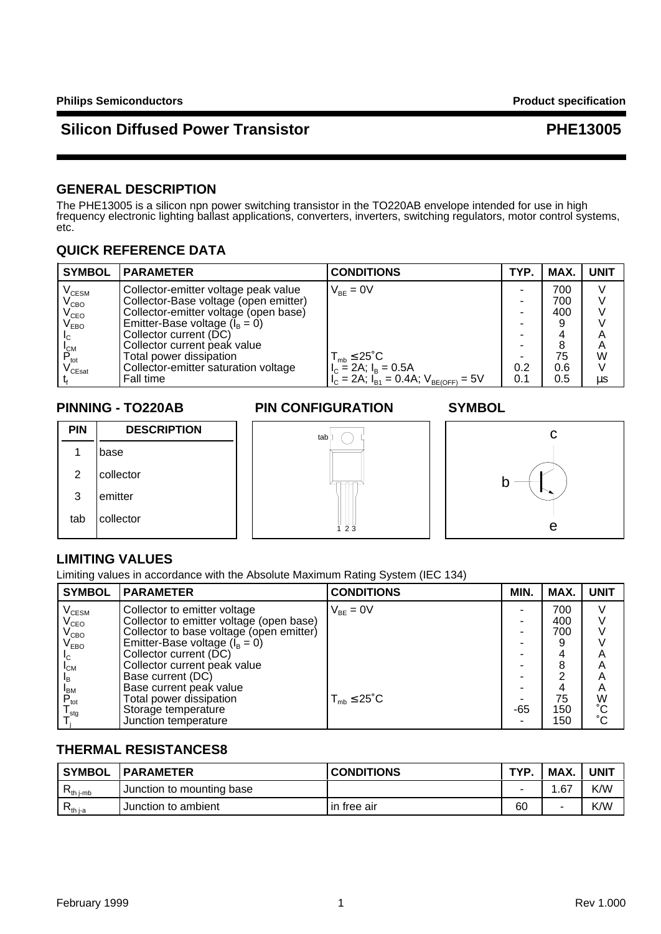### **GENERAL DESCRIPTION**

The PHE13005 is a silicon npn power switching transistor in the TO220AB envelope intended for use in high frequency electronic lighting ballast applications, converters, inverters, switching regulators, motor control systems, etc.

## **QUICK REFERENCE DATA**

| <b>SYMBOL</b>                          | <b>PARAMETER</b>                      | <b>CONDITIONS</b>                                 | TYP. | MAX. | <b>UNIT</b> |
|----------------------------------------|---------------------------------------|---------------------------------------------------|------|------|-------------|
| $\rm V_{\rm CESM}$                     | Collector-emitter voltage peak value  | $V_{BF} = 0V$                                     |      | 700  |             |
| $\rm V_{CBO}$                          | Collector-Base voltage (open emitter) |                                                   |      | 700  |             |
| $V_{\texttt{CEO}}$                     | Collector-emitter voltage (open base) |                                                   |      | 400  |             |
| $\mathsf{V}_{\mathsf{EBO}}$            | Emitter-Base voltage $(I_B = 0)$      |                                                   |      | 9    |             |
| IС                                     | Collector current (DC)                |                                                   |      |      | А           |
| <b>I</b> <sub>CM</sub>                 | Collector current peak value          |                                                   |      | 8    | A           |
| $P_{\text{tot}}$                       | Total power dissipation               | $T_{\text{mb}} \leq 25^{\circ}C$                  |      | 75   | W           |
| $\mathsf{v}_{\mathsf{C}\mathsf{East}}$ | Collector-emitter saturation voltage  | $I_c = 2A$ ; $I_B = 0.5A$                         | 0.2  | 0.6  |             |
|                                        | Fall time                             | $I_C = 2A$ ; $I_{B1} = 0.4A$ ; $V_{BE(OFF)} = 5V$ | 0.1  | 0.5  | μs          |

### **PINNING - TO220AB PIN CONFIGURATION SYMBOL**



### **LIMITING VALUES**

Limiting values in accordance with the Absolute Maximum Rating System (IEC 134)

| <b>SYMBOL</b>                     | <b>PARAMETER</b>                         | <b>CONDITIONS</b>         | MIN. | MAX. | <b>UNIT</b>            |
|-----------------------------------|------------------------------------------|---------------------------|------|------|------------------------|
| $\mathsf{V}_{\text{\tiny{CESM}}}$ | Collector to emitter voltage             | $V_{BF} = 0V$             |      | 700  |                        |
| $\rm V_{CEO}$                     | Collector to emitter voltage (open base) |                           |      | 400  |                        |
| $V_{\text{CBO}}^{-1}$             | Collector to base voltage (open emitter) |                           |      | 700  |                        |
| $\mathsf{V}_{\texttt{EBO}}$       | Emitter-Base voltage $(I_B = 0)$         |                           |      |      |                        |
| Iс                                | Collector current (DC)                   |                           |      | 4    | Α                      |
| $I_{CM}$                          | Collector current peak value             |                           |      | 8    | A                      |
| ΙŖ                                | Base current (DC)                        |                           |      | ⌒    | Α                      |
|                                   | Base current peak value                  |                           |      | 4    | A                      |
| $P_{\text{tot}}$                  | Total power dissipation                  | $T_{mb} \leq 25^{\circ}C$ |      | 75   | W                      |
| $I_{\text{stq}}$                  | Storage temperature                      |                           | -65  | 150  | $\overline{C}^{\circ}$ |
|                                   | Junction temperature                     |                           |      | 150  |                        |

## **THERMAL RESISTANCES8**

| ' SYMBOL                    | <b>IPARAMETER</b>         | <b>CONDITIONS</b> | <b>TYP</b> | MAX. | <b>UNIT</b> |
|-----------------------------|---------------------------|-------------------|------------|------|-------------|
| <b>L</b> <sup>th</sup> i-mb | Junction to mounting base |                   |            | 1.67 | K/W         |
| ¬th i-a                     | Junction to ambient       | in free air       | 60         | -    | K/W         |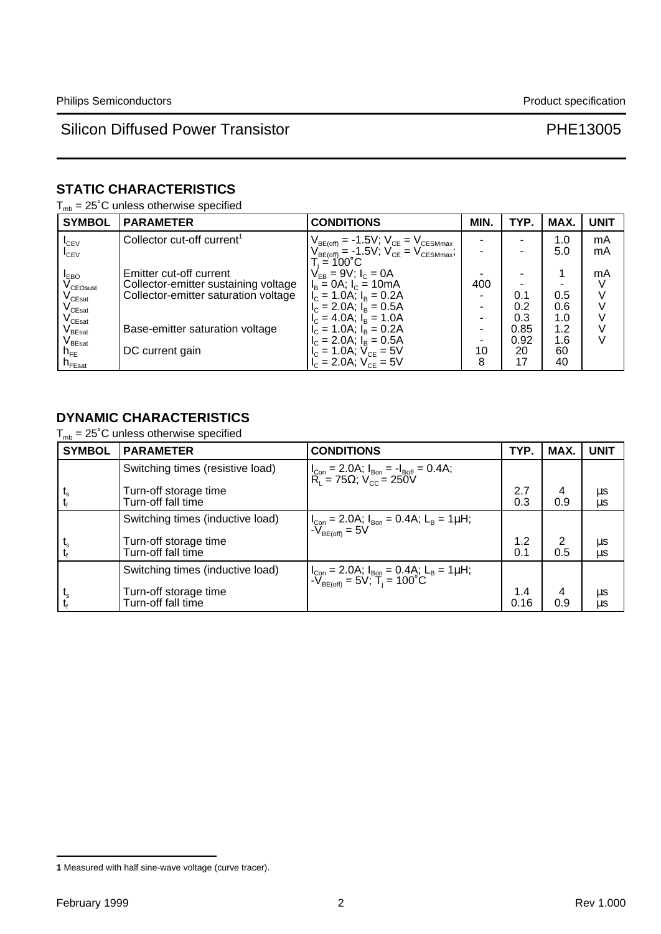# **STATIC CHARACTERISTICS**

 $T_{mb} = 25^{\circ}$ C unless otherwise specified

| <b>SYMBOL</b>                          | <b>PARAMETER</b>                       | <b>CONDITIONS</b>                                                                                                            | MIN. | TYP. | MAX. | <b>UNIT</b> |
|----------------------------------------|----------------------------------------|------------------------------------------------------------------------------------------------------------------------------|------|------|------|-------------|
| $I_{\text{CEV}}$                       | Collector cut-off current <sup>1</sup> |                                                                                                                              |      |      | 1.0  | mA          |
| $I_{CFV}$                              |                                        | $\begin{array}{l} V_{BE(off)} = -1.5 V; \ V_{CE} = V_{CESMmax} \\ V_{BE(off)} = -1.5 V; \ V_{CE} = V_{CESMmax}; \end{array}$ |      |      | 5.0  | mA          |
|                                        |                                        | $T_i = 100^{\circ}$ C .                                                                                                      |      |      |      |             |
| <b>IEBO</b>                            | Emitter cut-off current                | $V_{EB} = 9V$ ; $I_C = 0A$                                                                                                   |      |      |      | mA          |
| $V_{\text{CEOsust}}$                   | Collector-emitter sustaining voltage   | $I_B = 0A$ ; $I_C = 10mA$                                                                                                    | 400  |      |      |             |
| $\rm V_{CEsat}$                        | Collector-emitter saturation voltage   | $I_C = 1.0$ A; $I_B = 0.2$ A                                                                                                 |      | 0.1  | 0.5  |             |
| $\mathsf{V}_{\mathsf{C}\mathsf{East}}$ |                                        | $I_{C} = 2.0$ A; $I_{B} = 0.5$ A                                                                                             |      | 0.2  | 0.6  |             |
| $\mathsf{V}_{\mathsf{C}\mathsf{East}}$ |                                        | $I_c = 4.0$ A; $I_B = 1.0$ A                                                                                                 |      | 0.3  | 1.0  |             |
| $\mathsf{V}_{\mathsf{B}\mathsf{East}}$ | Base-emitter saturation voltage        | $I_c = 1.0$ A; $I_B = 0.2$ A                                                                                                 |      | 0.85 | 1.2  |             |
| $\mathsf{V}_{\mathsf{B}\mathsf{East}}$ |                                        | $I_c = 2.0$ A; $I_B = 0.5$ A                                                                                                 |      | 0.92 | 1.6  |             |
| $n_{FE}$                               | DC current gain                        | $V_c = 1.0$ A; $V_{CF} = 5V$                                                                                                 | 10   | 20   | 60   |             |
| $n_{\texttt{FEast}}$                   |                                        | $V_{C} = 2.0$ A; $V_{CF} = 5$ V                                                                                              | 8    | 17   | 40   |             |

## **DYNAMIC CHARACTERISTICS**

 $T_{mb}$  = 25°C unless otherwise specified

| <b>SYMBOL</b>  | <b>PARAMETER</b>                            | <b>CONDITIONS</b>                                                                                                      | TYP.        | MAX.                  | <b>UNIT</b>     |
|----------------|---------------------------------------------|------------------------------------------------------------------------------------------------------------------------|-------------|-----------------------|-----------------|
|                | Switching times (resistive load)            | $ I_{\text{Con}} = 2.0A; I_{\text{Bon}} = -I_{\text{Boff}} = 0.4A;$<br>$R_{\text{L}} = 75\Omega; V_{\text{CC}} = 250V$ |             |                       |                 |
|                | Turn-off storage time<br>Turn-off fall time |                                                                                                                        | 2.7<br>0.3  | 4<br>0.9              | μs<br>μs        |
|                | Switching times (inductive load)            | $ I_{\text{Con}} = 2.0$ A; $I_{\text{Bon}} = 0.4$ A; $L_{\text{B}} = 1 \mu$ H;<br>$-V_{\text{BE(off)}} = 5V$           |             |                       |                 |
|                | Turn-off storage time<br>Turn-off fall time |                                                                                                                        | 1.2<br>0.1  | 2<br>0.5              | μs<br><b>us</b> |
|                | Switching times (inductive load)            | $ I_{Con} = 2.0A; I_{Bon} = 0.4A; L_B = 1 \mu H;$<br>- $V_{BEC(eff)} = 5V; T_i = 100°C$                                |             |                       |                 |
| ւ <sub>s</sub> | Turn-off storage time<br>Turn-off fall time |                                                                                                                        | 1.4<br>0.16 | $\overline{4}$<br>0.9 | μs<br><b>us</b> |

**<sup>1</sup>** Measured with half sine-wave voltage (curve tracer).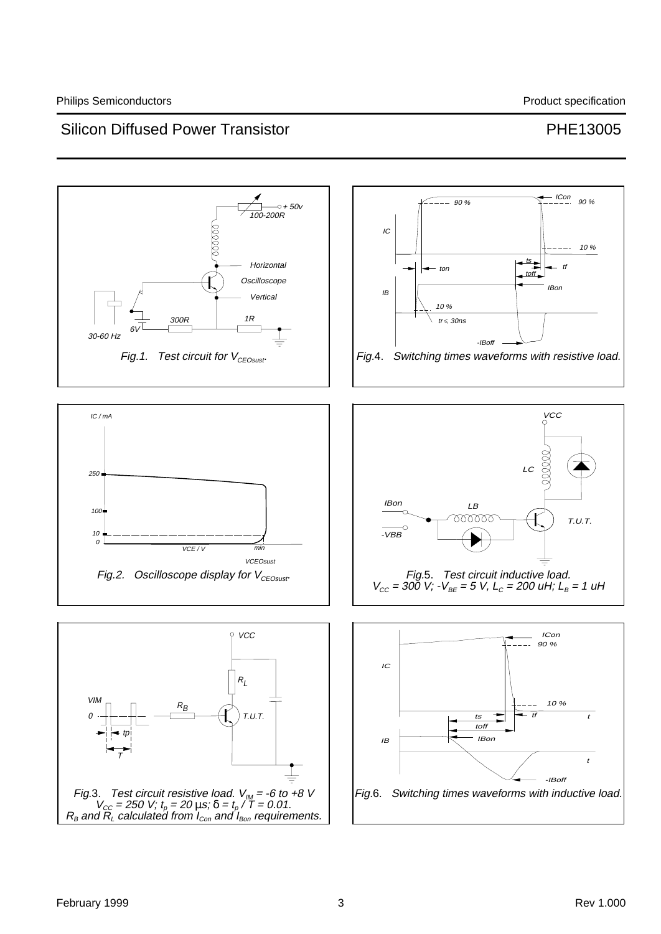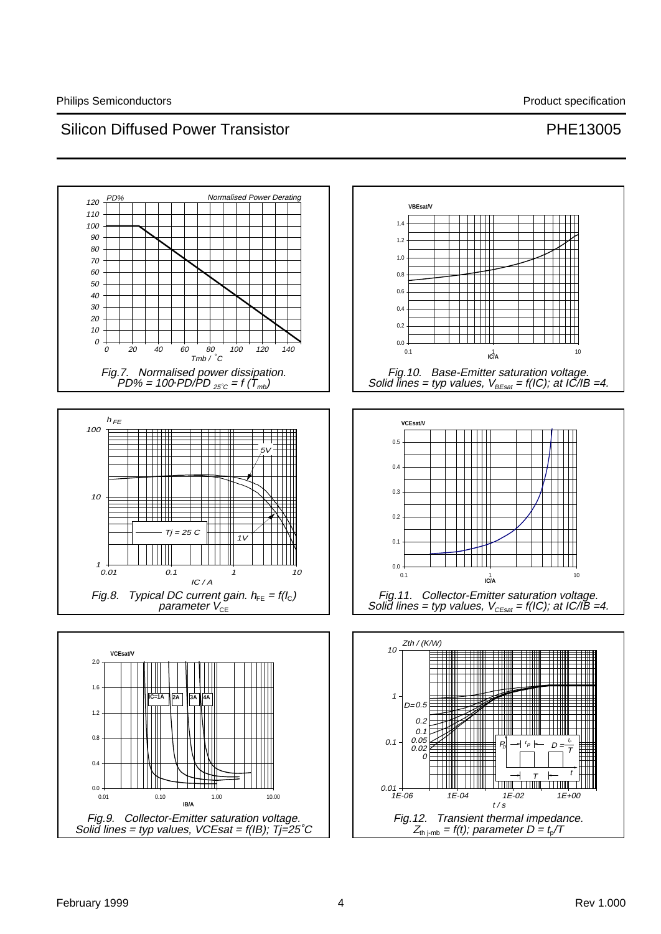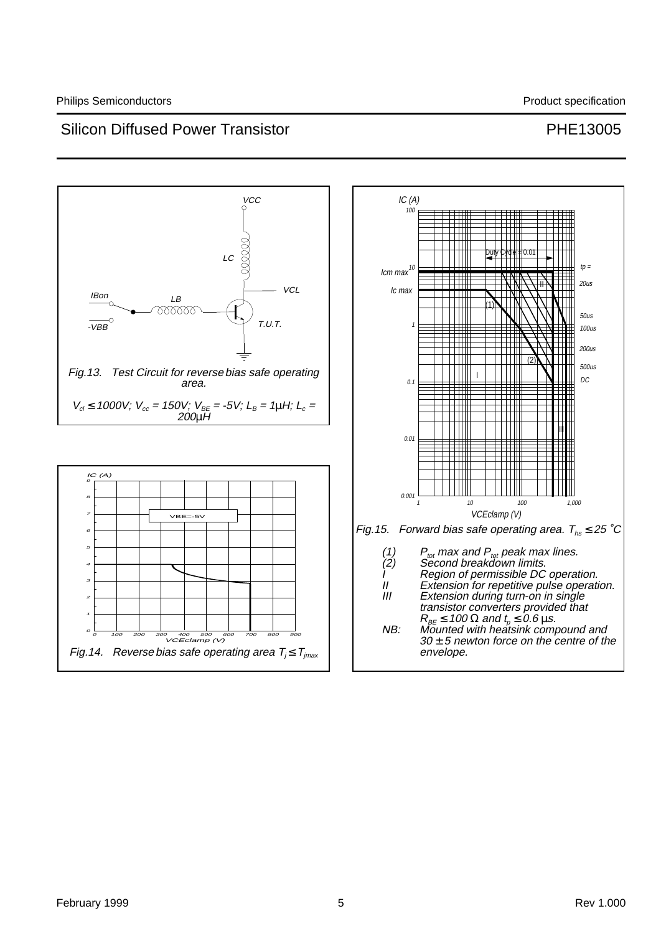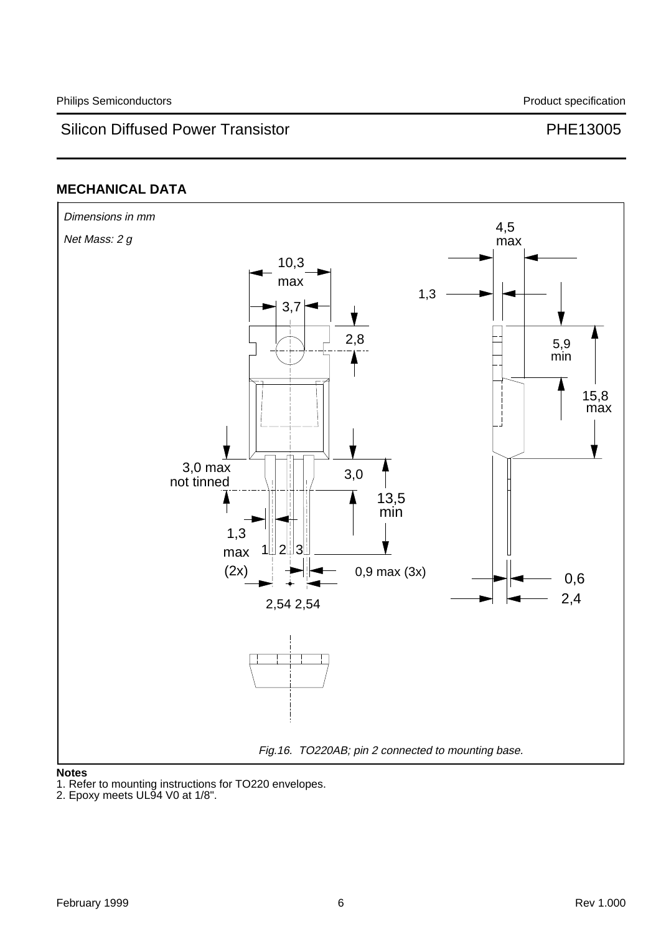# **MECHANICAL DATA**



### **Notes**

1. Refer to mounting instructions for TO220 envelopes.

<sup>2.</sup> Epoxy meets UL94 V0 at 1/8".